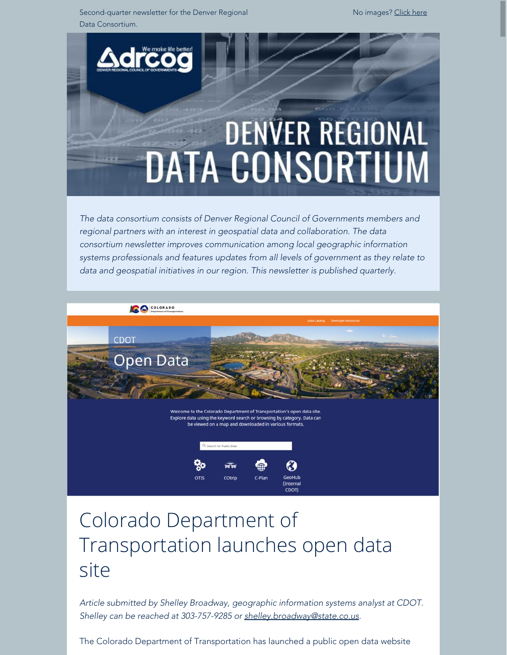Second-quarter newsletter for the Denver Regional Data Consortium.

No images? [Click here](https://drcog.createsend1.com/t/d-e-qtrsjd-l-ji/)



*The data consortium consists of Denver Regional Council of Governments members and regional partners with an interest in geospatial data and collaboration. The data consortium newsletter improves communication among local geographic information systems professionals and features updates from all levels of government as they relate to data and geospatial initiatives in our region. This newsletter is published quarterly.*



# Colorado Department of Transportation launches open data site

*Article submitted by Shelley Broadway, geographic information systems analyst at CDOT. Shelley can be reached at 303-757-9285 or [shelley.broadway@state.co.us](mailto:shelley.broadway@state.co.us).*

The Colorado Department of Transportation has launched a public open data website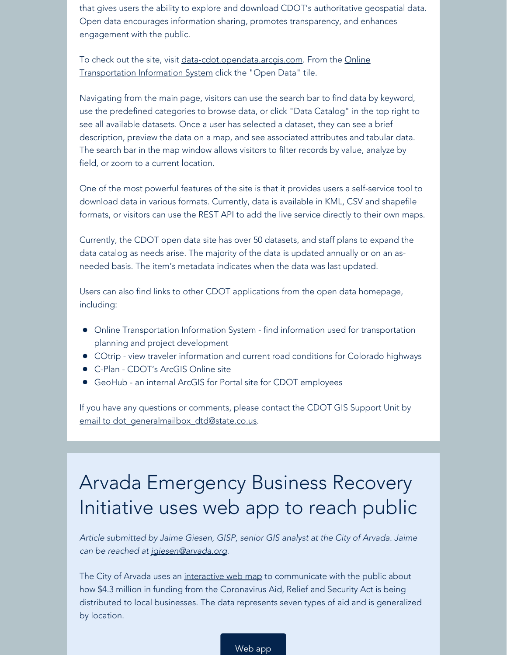that gives users the ability to explore and download CDOT's authoritative geospatial data. Open data encourages information sharing, promotes transparency, and enhances engagement with the public.

To check out the site, visit [data-cdot.opendata.arcgis.com](https://drcog.createsend1.com/t/d-l-qtrsjd-l-j/). From the [Online](https://drcog.createsend1.com/t/d-l-qtrsjd-l-t/) [Transportation Information System](https://drcog.createsend1.com/t/d-l-qtrsjd-l-t/) click the "Open Data" tile.

Navigating from the main page, visitors can use the search bar to find data by keyword, use the predefined categories to browse data, or click "Data Catalog" in the top right to see all available datasets. Once a user has selected a dataset, they can see a brief description, preview the data on a map, and see associated attributes and tabular data. The search bar in the map window allows visitors to filter records by value, analyze by field, or zoom to a current location.

One of the most powerful features of the site is that it provides users a self-service tool to download data in various formats. Currently, data is available in KML, CSV and shapefile formats, or visitors can use the REST API to add the live service directly to their own maps.

Currently, the CDOT open data site has over 50 datasets, and staff plans to expand the data catalog as needs arise. The majority of the data is updated annually or on an asneeded basis. The item's metadata indicates when the data was last updated.

Users can also find links to other CDOT applications from the open data homepage, including:

- Online Transportation Information System find information used for transportation planning and project development
- COtrip view traveler information and current road conditions for Colorado highways
- C-Plan CDOT's ArcGIS Online site
- GeoHub an internal ArcGIS for Portal site for CDOT employees

If you have any questions or comments, please contact the CDOT GIS Support Unit by email to [dot\\_generalmailbox\\_dtd@state.co.us](mailto:dot_generalmailbox_dtd@state.co.us).

## Arvada Emergency Business Recovery Initiative uses web app to reach public

*Article submitted by Jaime Giesen, GISP, senior GIS analyst at the City of Arvada. Jaime can be reached at [jgiesen@arvada.org](mailto:jgiesen@arvada.org).*

The City of Arvada uses an [interactive web map](https://drcog.createsend1.com/t/d-l-qtrsjd-l-i/) to communicate with the public about how \$4.3 million in funding from the Coronavirus Aid, Relief and Security Act is being distributed to local businesses. The data represents seven types of aid and is generalized by location.

[Web app](https://drcog.createsend1.com/t/d-l-qtrsjd-l-d/)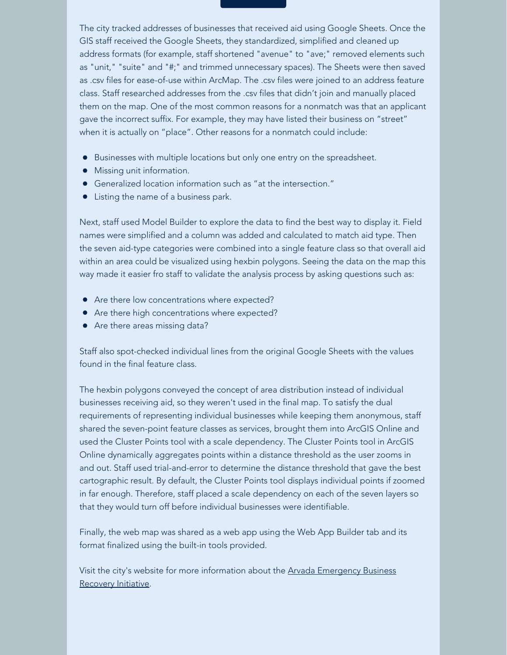The city tracked addresses of businesses that received aid using Google Sheets. Once the GIS staff received the Google Sheets, they standardized, simplified and cleaned up address formats (for example, staff shortened "avenue" to "ave;" removed elements such as "unit," "suite" and "#;" and trimmed unnecessary spaces). The Sheets were then saved as .csv files for ease-of-use within ArcMap. The .csv files were joined to an address feature class. Staff researched addresses from the .csv files that didn't join and manually placed them on the map. One of the most common reasons for a nonmatch was that an applicant gave the incorrect suffix. For example, they may have listed their business on "street" when it is actually on "place". Other reasons for a nonmatch could include:

- Businesses with multiple locations but only one entry on the spreadsheet.
- Missing unit information.
- Generalized location information such as "at the intersection."
- Listing the name of a business park.

Next, staff used Model Builder to explore the data to find the best way to display it. Field names were simplified and a column was added and calculated to match aid type. Then the seven aid-type categories were combined into a single feature class so that overall aid within an area could be visualized using hexbin polygons. Seeing the data on the map this way made it easier fro staff to validate the analysis process by asking questions such as:

- Are there low concentrations where expected?
- Are there high concentrations where expected?
- Are there areas missing data?

Staff also spot-checked individual lines from the original Google Sheets with the values found in the final feature class.

The hexbin polygons conveyed the concept of area distribution instead of individual businesses receiving aid, so they weren't used in the final map. To satisfy the dual requirements of representing individual businesses while keeping them anonymous, staff shared the seven-point feature classes as services, brought them into ArcGIS Online and used the Cluster Points tool with a scale dependency. The Cluster Points tool in ArcGIS Online dynamically aggregates points within a distance threshold as the user zooms in and out. Staff used trial-and-error to determine the distance threshold that gave the best cartographic result. By default, the Cluster Points tool displays individual points if zoomed in far enough. Therefore, staff placed a scale dependency on each of the seven layers so that they would turn off before individual businesses were identifiable.

Finally, the web map was shared as a web app using the Web App Builder tab and its format finalized using the built-in tools provided.

Visit the city's website for more information about the [Arvada Emergency Business](https://drcog.createsend1.com/t/d-l-qtrsjd-l-h/) [Recovery Initiative](https://drcog.createsend1.com/t/d-l-qtrsjd-l-h/).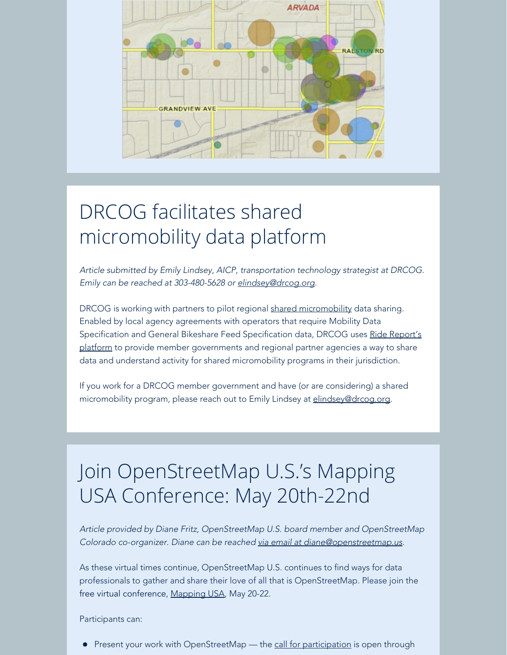

# DRCOG facilitates shared micromobility data platform

*Article submitted by Emily Lindsey, AICP, transportation technology strategist at DRCOG. Emily can be reached at 303-480-5628 or [elindsey@drcog.org](mailto:elindsey@drcog.org).*

DRCOG is working with partners to pilot regional [shared micromobility](https://drcog.createsend1.com/t/d-l-qtrsjd-l-u/) data sharing. Enabled by local agency agreements with operators that require Mobility Data Specification and General Bikeshare Feed Specification data, DRCOG uses [Ride Report's](https://drcog.createsend1.com/t/d-l-qtrsjd-l-o/) [platform](https://drcog.createsend1.com/t/d-l-qtrsjd-l-o/) to provide member governments and regional partner agencies a way to share data and understand activity for shared micromobility programs in their jurisdiction.

If you work for a DRCOG member government and have (or are considering) a shared micromobility program, please reach out to Emily Lindsey at [elindsey@drcog.org](mailto:elindsey@drcog.org).

# Join OpenStreetMap U.S.'s Mapping USA Conference: May 20th-22nd

*Article provided by Diane Fritz, OpenStreetMap U.S. board member and OpenStreetMap Colorado co-organizer. Diane can be reached [via email at diane@openstreetmap.us](mailto:diane@openstreetmap.us).*

As these virtual times continue, OpenStreetMap U.S. continues to find ways for data professionals to gather and share their love of all that is OpenStreetMap. Please join the free virtual conference, [Mapping USA](https://drcog.createsend1.com/t/d-l-qtrsjd-l-b/), May 20-22.

Participants can:

Present your work with OpenStreetMap — the [call for participation](https://drcog.createsend1.com/t/d-l-qtrsjd-l-n/) is open through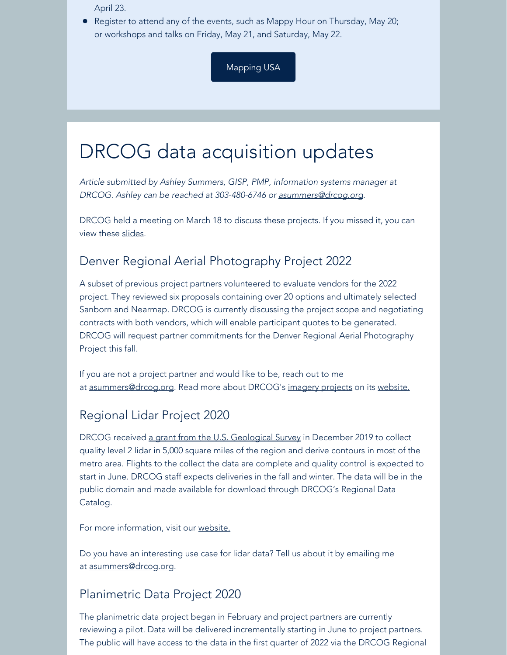April 23.

• Register to attend any of the events, such as Mappy Hour on Thursday, May 20; or workshops and talks on Friday, May 21, and Saturday, May 22.

[Mapping USA](https://drcog.createsend1.com/t/d-l-qtrsjd-l-p/)

### DRCOG data acquisition updates

*Article submitted by Ashley Summers, GISP, PMP, information systems manager at DRCOG. Ashley can be reached at 303-480-6746 or [asummers@drcog.org](mailto:asummers@drcog.org).*

DRCOG held a meeting on March 18 to discuss these projects. If you missed it, you can view these [slides](https://drcog.createsend1.com/t/d-l-qtrsjd-l-m/).

### Denver Regional Aerial Photography Project 2022

A subset of previous project partners volunteered to evaluate vendors for the 2022 project. They reviewed six proposals containing over 20 options and ultimately selected Sanborn and Nearmap. DRCOG is currently discussing the project scope and negotiating contracts with both vendors, which will enable participant quotes to be generated. DRCOG will request partner commitments for the Denver Regional Aerial Photography Project this fall.

If you are not a project partner and would like to be, reach out to me at [asummers@drcog.org](mailto:asummers@drcog.org). Read more about DRCOG's [imagery projects](https://drcog.createsend1.com/t/d-l-qtrsjd-l-c/) on its [website.](https://drcog.createsend1.com/t/d-l-qtrsjd-l-q/)

### Regional Lidar Project 2020

DRCOG received [a grant from the U.S. Geological S](https://drcog.createsend1.com/t/d-l-qtrsjd-l-a/)[urvey](https://drcog.createsend1.com/t/d-l-qtrsjd-l-z/) in December 2019 to collect quality level 2 lidar in 5,000 square miles of the region and derive contours in most of the metro area. Flights to the collect the data are complete and quality control is expected to start in June. DRCOG staff expects deliveries in the fall and winter. The data will be in the public domain and made available for download through DRCOG's Regional Data Catalog.

For more information, visit our [website.](https://drcog.createsend1.com/t/d-l-qtrsjd-l-v/)

Do you have an interesting use case for lidar data? Tell us about it by emailing me at [asummers@drcog.org](mailto:asummers@drcog.org).

### Planimetric Data Project 2020

The planimetric data project began in February and project partners are currently reviewing a pilot. Data will be delivered incrementally starting in June to project partners. The public will have access to the data in the first quarter of 2022 via the DRCOG Regional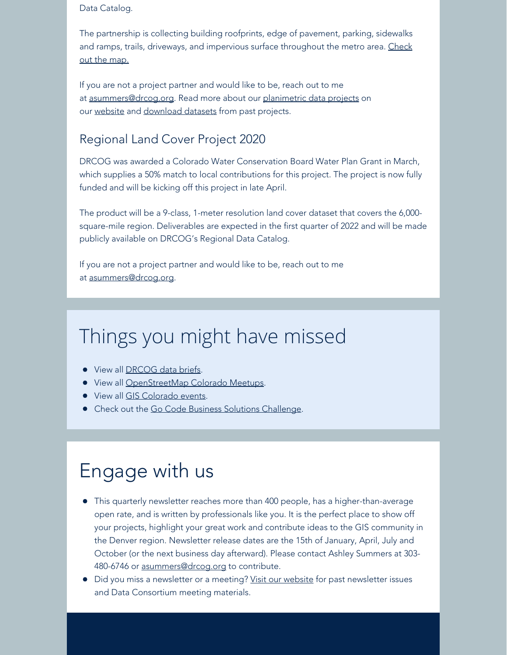#### Data Catalog.

The partnership is collecting building roofprints, edge of pavement, parking, sidewalks and ramps, trails, driveways, and impervious surface throughout the metro area. [Check](https://drcog.createsend1.com/t/d-l-qtrsjd-l-e/) [out the map.](https://drcog.createsend1.com/t/d-l-qtrsjd-l-e/)

If you are not a project partner and would like to be, reach out to me at [asummers@drcog.org](mailto:asummers@drcog.org). Read more about our [planimetric data projects](https://drcog.createsend1.com/t/d-l-qtrsjd-l-s/) on our [website](https://drcog.createsend1.com/t/d-l-qtrsjd-l-g/) and [download datasets](https://drcog.createsend1.com/t/d-l-qtrsjd-l-w/) from past projects.

#### Regional Land Cover Project 2020

DRCOG was awarded a Colorado Water Conservation Board Water Plan Grant in March, which supplies a 50% match to local contributions for this project. The project is now fully funded and will be kicking off this project in late April.

The product will be a 9-class, 1-meter resolution land cover dataset that covers the 6,000 square-mile region. Deliverables are expected in the first quarter of 2022 and will be made publicly available on DRCOG's Regional Data Catalog.

If you are not a project partner and would like to be, reach out to me at [asummers@drcog.org](mailto:asummers@drcog.org).

## Things you might have missed

- View all [DRCOG data briefs](https://drcog.createsend1.com/t/d-l-qtrsjd-l-yd/).
- **•** View all [OpenStreetMap Colorado Meetups.](https://drcog.createsend1.com/t/d-l-qtrsjd-l-yh/)
- View all [GIS Colorado](https://drcog.createsend1.com/t/d-l-qtrsjd-l-yk/) events.
- Check out the [Go Code Business Solutions Challenge](https://drcog.createsend1.com/t/d-l-qtrsjd-l-yu/).

### Engage with us

- This quarterly newsletter reaches more than 400 people, has a higher-than-average open rate, and is written by professionals like you. It is the perfect place to show off your projects, highlight your great work and contribute ideas to the GIS community in the Denver region. Newsletter release dates are the 15th of January, April, July and October (or the next business day afterward). Please contact Ashley Summers at 303 480-6746 or [asummers@drcog.org](mailto:asummers@drcog.org) to contribute.
- Did you miss a newsletter or a meeting? [Visit our website](https://drcog.createsend1.com/t/d-l-qtrsjd-l-jl/) for past newsletter issues and Data Consortium meeting materials.